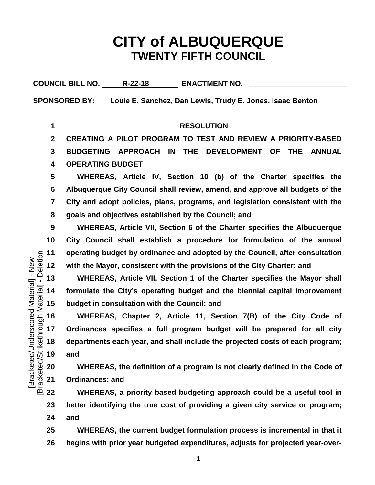## **CITY of ALBUQUERQUE TWENTY FIFTH COUNCIL**

**COUNCIL BILL NO. R-22-18 ENACTMENT NO. \_\_\_\_\_\_\_\_\_\_\_\_\_\_\_\_\_\_\_\_\_\_\_\_**

**SPONSORED BY: Louie E. Sanchez, Dan Lewis, Trudy E. Jones, Isaac Benton**

**RESOLUTION**

**CREATING A PILOT PROGRAM TO TEST AND REVIEW A PRIORITY-BASED** 

 **BUDGETING APPROACH IN THE DEVELOPMENT OF THE ANNUAL OPERATING BUDGET**

 **WHEREAS, Article IV, Section 10 (b) of the Charter specifies the Albuquerque City Council shall review, amend, and approve all budgets of the City and adopt policies, plans, programs, and legislation consistent with the goals and objectives established by the Council; and**

 **WHEREAS, Article VII, Section 6 of the Charter specifies the Albuquerque City Council shall establish a procedure for formulation of the annual operating budget by ordinance and adopted by the Council, after consultation with the Mayor, consistent with the provisions of the City Charter; and** 

 **formulate the City's operating budget and the biennial capital improvement budget in consultation with the Council; and**

 WHEREAS, Article VII, Section 1 of the Charter specifies the Mayor shall  $\frac{1}{36}$  14 formulate the City's operating budget and the biennial capital improvement budget in consultation with the Council; and WHEREAS, **WHEREAS, Chapter 2, Article 11, Section 7(B) of the City Code of Ordinances specifies a full program budget will be prepared for all city departments each year, and shall include the projected costs of each program; and**

 **WHEREAS, the definition of a program is not clearly defined in the Code of Ordinances; and**

 **WHEREAS, a priority based budgeting approach could be a useful tool in better identifying the true cost of providing a given city service or program; and**

 **WHEREAS, the current budget formulation process is incremental in that it begins with prior year budgeted expenditures, adjusts for projected year-over-**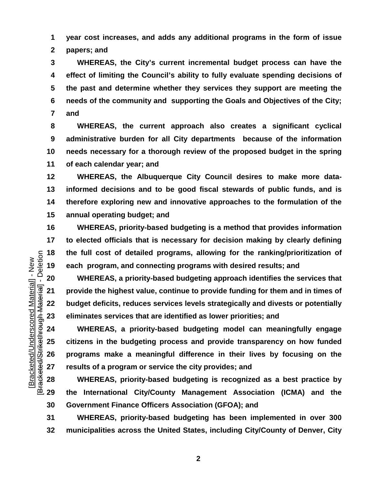**year cost increases, and adds any additional programs in the form of issue papers; and**

 **WHEREAS, the City's current incremental budget process can have the effect of limiting the Council's ability to fully evaluate spending decisions of the past and determine whether they services they support are meeting the needs of the community and supporting the Goals and Objectives of the City; and** 

 **WHEREAS, the current approach also creates a significant cyclical administrative burden for all City departments because of the information needs necessary for a thorough review of the proposed budget in the spring of each calendar year; and** 

 **WHEREAS, the Albuquerque City Council desires to make more data- informed decisions and to be good fiscal stewards of public funds, and is therefore exploring new and innovative approaches to the formulation of the annual operating budget; and**

 **WHEREAS, priority-based budgeting is a method that provides information to elected officials that is necessary for decision making by clearly defining the full cost of detailed programs, allowing for the ranking/prioritization of each program, and connecting programs with desired results; and** 

 **provide the highest value, continue to provide funding for them and in times of budget deficits, reduces services levels strategically and divests or potentially eliminates services that are identified as lower priorities; and** 

20 WHEREAS, a priority-based budgeting approach identifies the services that<br>  $\frac{1}{36}$  21 provide the highest value, continue to provide funding for them and in times of<br>
22 budget deficits, reduces services levels stra **WHEREAS, a priority-based budgeting model can meaningfully engage citizens in the budgeting process and provide transparency on how funded programs make a meaningful difference in their lives by focusing on the results of a program or service the city provides; and** 

 **WHEREAS, priority-based budgeting is recognized as a best practice by the International City/County Management Association (ICMA) and the Government Finance Officers Association (GFOA); and** 

 **WHEREAS, priority-based budgeting has been implemented in over 300 municipalities across the United States, including City/County of Denver, City** 

Deletion [Bracketed/Strikethrough Material] - Deletion Bracketed/Underscored Material] - New [Bracketed/Underscored Material] - New